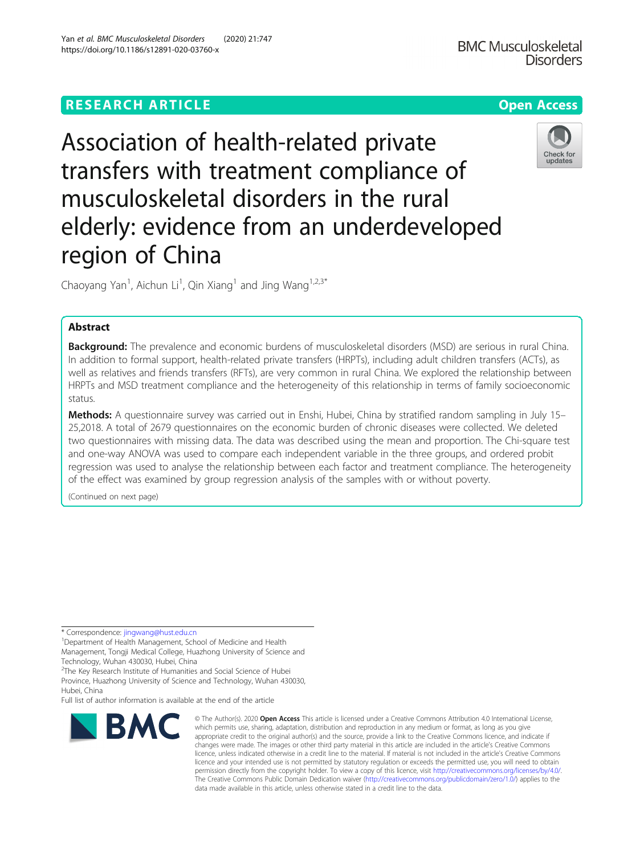# **RESEARCH ARTICLE Example 2014 12:30 The Contract of Contract ACCESS**

# Association of health-related private transfers with treatment compliance of musculoskeletal disorders in the rural elderly: evidence from an underdeveloped region of China

Chaoyang Yan<sup>1</sup>, Aichun Li<sup>1</sup>, Qin Xiang<sup>1</sup> and Jing Wang<sup>1,2,3\*</sup>

# Abstract

Background: The prevalence and economic burdens of musculoskeletal disorders (MSD) are serious in rural China. In addition to formal support, health-related private transfers (HRPTs), including adult children transfers (ACTs), as well as relatives and friends transfers (RFTs), are very common in rural China. We explored the relationship between HRPTs and MSD treatment compliance and the heterogeneity of this relationship in terms of family socioeconomic status.

Methods: A questionnaire survey was carried out in Enshi, Hubei, China by stratified random sampling in July 15– 25,2018. A total of 2679 questionnaires on the economic burden of chronic diseases were collected. We deleted two questionnaires with missing data. The data was described using the mean and proportion. The Chi-square test and one-way ANOVA was used to compare each independent variable in the three groups, and ordered probit regression was used to analyse the relationship between each factor and treatment compliance. The heterogeneity of the effect was examined by group regression analysis of the samples with or without poverty.

(Continued on next page)

\* Correspondence: [jingwang@hust.edu.cn](mailto:jingwang@hust.edu.cn) <sup>1</sup>

**BMC** 

Department of Health Management, School of Medicine and Health Management, Tongji Medical College, Huazhong University of Science and Technology, Wuhan 430030, Hubei, China

<sup>2</sup>The Key Research Institute of Humanities and Social Science of Hubei Province, Huazhong University of Science and Technology, Wuhan 430030, Hubei, China

Full list of author information is available at the end of the article

https://doi.org/10.1186/s12891-020-03760-x

which permits use, sharing, adaptation, distribution and reproduction in any medium or format, as long as you give appropriate credit to the original author(s) and the source, provide a link to the Creative Commons licence, and indicate if changes were made. The images or other third party material in this article are included in the article's Creative Commons licence, unless indicated otherwise in a credit line to the material. If material is not included in the article's Creative Commons licence and your intended use is not permitted by statutory regulation or exceeds the permitted use, you will need to obtain permission directly from the copyright holder. To view a copy of this licence, visit [http://creativecommons.org/licenses/by/4.0/.](http://creativecommons.org/licenses/by/4.0/) The Creative Commons Public Domain Dedication waiver [\(http://creativecommons.org/publicdomain/zero/1.0/](http://creativecommons.org/publicdomain/zero/1.0/)) applies to the data made available in this article, unless otherwise stated in a credit line to the data.

© The Author(s), 2020 **Open Access** This article is licensed under a Creative Commons Attribution 4.0 International License,



Check for updates

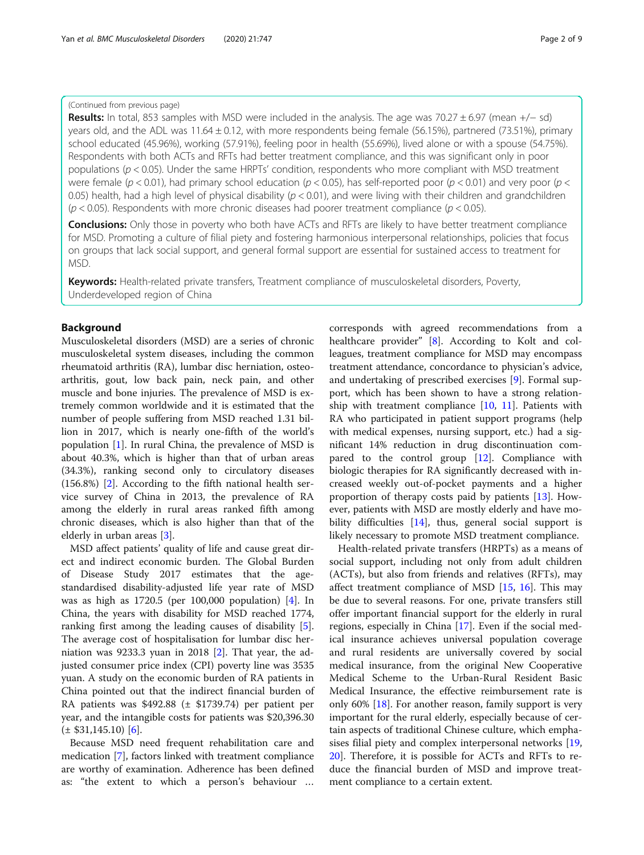# (Continued from previous page)

Results: In total, 853 samples with MSD were included in the analysis. The age was 70.27 ± 6.97 (mean +/− sd) years old, and the ADL was  $11.64 \pm 0.12$ , with more respondents being female (56.15%), partnered (73.51%), primary school educated (45.96%), working (57.91%), feeling poor in health (55.69%), lived alone or with a spouse (54.75%). Respondents with both ACTs and RFTs had better treatment compliance, and this was significant only in poor populations ( $p < 0.05$ ). Under the same HRPTs' condition, respondents who more compliant with MSD treatment were female ( $p < 0.01$ ), had primary school education ( $p < 0.05$ ), has self-reported poor ( $p < 0.01$ ) and very poor ( $p <$ 0.05) health, had a high level of physical disability  $(p < 0.01)$ , and were living with their children and grandchildren  $(p < 0.05)$ . Respondents with more chronic diseases had poorer treatment compliance  $(p < 0.05)$ .

**Conclusions:** Only those in poverty who both have ACTs and RFTs are likely to have better treatment compliance for MSD. Promoting a culture of filial piety and fostering harmonious interpersonal relationships, policies that focus on groups that lack social support, and general formal support are essential for sustained access to treatment for MSD.

Keywords: Health-related private transfers, Treatment compliance of musculoskeletal disorders, Poverty, Underdeveloped region of China

# Background

Musculoskeletal disorders (MSD) are a series of chronic musculoskeletal system diseases, including the common rheumatoid arthritis (RA), lumbar disc herniation, osteoarthritis, gout, low back pain, neck pain, and other muscle and bone injuries. The prevalence of MSD is extremely common worldwide and it is estimated that the number of people suffering from MSD reached 1.31 billion in 2017, which is nearly one-fifth of the world's population [\[1](#page-7-0)]. In rural China, the prevalence of MSD is about 40.3%, which is higher than that of urban areas (34.3%), ranking second only to circulatory diseases (156.8%) [[2\]](#page-7-0). According to the fifth national health service survey of China in 2013, the prevalence of RA among the elderly in rural areas ranked fifth among chronic diseases, which is also higher than that of the elderly in urban areas [\[3](#page-7-0)].

MSD affect patients' quality of life and cause great direct and indirect economic burden. The Global Burden of Disease Study 2017 estimates that the agestandardised disability-adjusted life year rate of MSD was as high as 1720.5 (per 100,000 population) [\[4](#page-7-0)]. In China, the years with disability for MSD reached 1774, ranking first among the leading causes of disability [\[5](#page-7-0)]. The average cost of hospitalisation for lumbar disc herniation was 9233.3 yuan in 2018  $[2]$  $[2]$ . That year, the adjusted consumer price index (CPI) poverty line was 3535 yuan. A study on the economic burden of RA patients in China pointed out that the indirect financial burden of RA patients was \$492.88 (± \$1739.74) per patient per year, and the intangible costs for patients was \$20,396.30  $(\pm$  \$31,145.10) [\[6](#page-7-0)].

Because MSD need frequent rehabilitation care and medication [\[7](#page-7-0)], factors linked with treatment compliance are worthy of examination. Adherence has been defined as: "the extent to which a person's behaviour … corresponds with agreed recommendations from a healthcare provider" [[8\]](#page-7-0). According to Kolt and colleagues, treatment compliance for MSD may encompass treatment attendance, concordance to physician's advice, and undertaking of prescribed exercises [[9\]](#page-7-0). Formal support, which has been shown to have a strong relationship with treatment compliance  $[10, 11]$  $[10, 11]$  $[10, 11]$ . Patients with RA who participated in patient support programs (help with medical expenses, nursing support, etc.) had a significant 14% reduction in drug discontinuation compared to the control group [\[12\]](#page-8-0). Compliance with biologic therapies for RA significantly decreased with increased weekly out-of-pocket payments and a higher proportion of therapy costs paid by patients [[13](#page-8-0)]. However, patients with MSD are mostly elderly and have mo-bility difficulties [[14\]](#page-8-0), thus, general social support is likely necessary to promote MSD treatment compliance.

Health-related private transfers (HRPTs) as a means of social support, including not only from adult children (ACTs), but also from friends and relatives (RFTs), may affect treatment compliance of MSD [[15,](#page-8-0) [16](#page-8-0)]. This may be due to several reasons. For one, private transfers still offer important financial support for the elderly in rural regions, especially in China [\[17](#page-8-0)]. Even if the social medical insurance achieves universal population coverage and rural residents are universally covered by social medical insurance, from the original New Cooperative Medical Scheme to the Urban-Rural Resident Basic Medical Insurance, the effective reimbursement rate is only 60% [\[18\]](#page-8-0). For another reason, family support is very important for the rural elderly, especially because of certain aspects of traditional Chinese culture, which emphasises filial piety and complex interpersonal networks [[19](#page-8-0), [20\]](#page-8-0). Therefore, it is possible for ACTs and RFTs to reduce the financial burden of MSD and improve treatment compliance to a certain extent.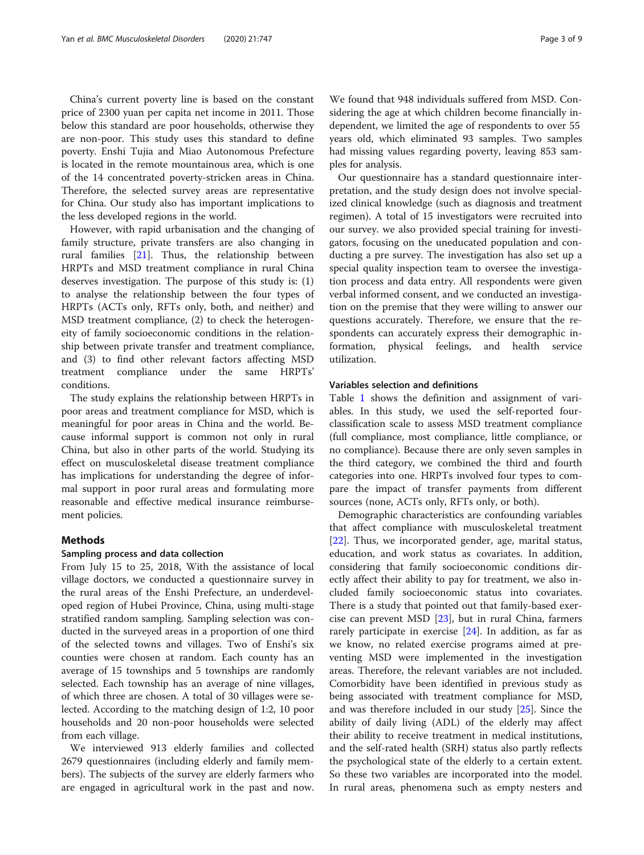China's current poverty line is based on the constant price of 2300 yuan per capita net income in 2011. Those below this standard are poor households, otherwise they are non-poor. This study uses this standard to define poverty. Enshi Tujia and Miao Autonomous Prefecture is located in the remote mountainous area, which is one of the 14 concentrated poverty-stricken areas in China. Therefore, the selected survey areas are representative for China. Our study also has important implications to the less developed regions in the world.

However, with rapid urbanisation and the changing of family structure, private transfers are also changing in rural families [\[21](#page-8-0)]. Thus, the relationship between HRPTs and MSD treatment compliance in rural China deserves investigation. The purpose of this study is: (1) to analyse the relationship between the four types of HRPTs (ACTs only, RFTs only, both, and neither) and MSD treatment compliance, (2) to check the heterogeneity of family socioeconomic conditions in the relationship between private transfer and treatment compliance, and (3) to find other relevant factors affecting MSD treatment compliance under the same HRPTs' conditions.

The study explains the relationship between HRPTs in poor areas and treatment compliance for MSD, which is meaningful for poor areas in China and the world. Because informal support is common not only in rural China, but also in other parts of the world. Studying its effect on musculoskeletal disease treatment compliance has implications for understanding the degree of informal support in poor rural areas and formulating more reasonable and effective medical insurance reimbursement policies.

## Methods

## Sampling process and data collection

From July 15 to 25, 2018, With the assistance of local village doctors, we conducted a questionnaire survey in the rural areas of the Enshi Prefecture, an underdeveloped region of Hubei Province, China, using multi-stage stratified random sampling. Sampling selection was conducted in the surveyed areas in a proportion of one third of the selected towns and villages. Two of Enshi's six counties were chosen at random. Each county has an average of 15 townships and 5 townships are randomly selected. Each township has an average of nine villages, of which three are chosen. A total of 30 villages were selected. According to the matching design of 1:2, 10 poor households and 20 non-poor households were selected from each village.

We interviewed 913 elderly families and collected 2679 questionnaires (including elderly and family members). The subjects of the survey are elderly farmers who are engaged in agricultural work in the past and now.

We found that 948 individuals suffered from MSD. Considering the age at which children become financially independent, we limited the age of respondents to over 55 years old, which eliminated 93 samples. Two samples had missing values regarding poverty, leaving 853 samples for analysis.

Our questionnaire has a standard questionnaire interpretation, and the study design does not involve specialized clinical knowledge (such as diagnosis and treatment regimen). A total of 15 investigators were recruited into our survey. we also provided special training for investigators, focusing on the uneducated population and conducting a pre survey. The investigation has also set up a special quality inspection team to oversee the investigation process and data entry. All respondents were given verbal informed consent, and we conducted an investigation on the premise that they were willing to answer our questions accurately. Therefore, we ensure that the respondents can accurately express their demographic information, physical feelings, and health service utilization.

#### Variables selection and definitions

Table [1](#page-3-0) shows the definition and assignment of variables. In this study, we used the self-reported fourclassification scale to assess MSD treatment compliance (full compliance, most compliance, little compliance, or no compliance). Because there are only seven samples in the third category, we combined the third and fourth categories into one. HRPTs involved four types to compare the impact of transfer payments from different sources (none, ACTs only, RFTs only, or both).

Demographic characteristics are confounding variables that affect compliance with musculoskeletal treatment [[22\]](#page-8-0). Thus, we incorporated gender, age, marital status, education, and work status as covariates. In addition, considering that family socioeconomic conditions directly affect their ability to pay for treatment, we also included family socioeconomic status into covariates. There is a study that pointed out that family-based exercise can prevent MSD [\[23\]](#page-8-0), but in rural China, farmers rarely participate in exercise  $[24]$ . In addition, as far as we know, no related exercise programs aimed at preventing MSD were implemented in the investigation areas. Therefore, the relevant variables are not included. Comorbidity have been identified in previous study as being associated with treatment compliance for MSD, and was therefore included in our study [\[25\]](#page-8-0). Since the ability of daily living (ADL) of the elderly may affect their ability to receive treatment in medical institutions, and the self-rated health (SRH) status also partly reflects the psychological state of the elderly to a certain extent. So these two variables are incorporated into the model. In rural areas, phenomena such as empty nesters and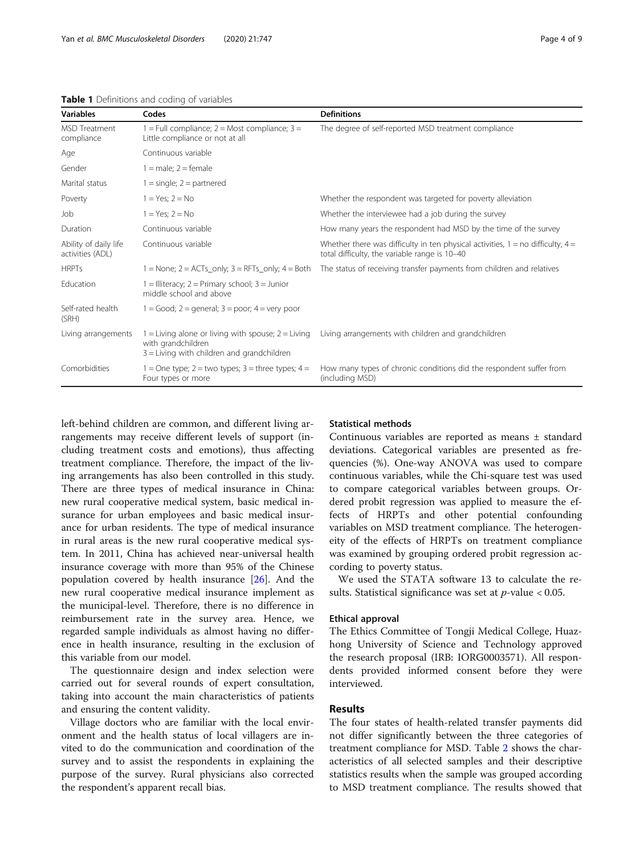| <b>Variables</b>                          | Codes                                                                                                                      | <b>Definitions</b>                                                                                                                   |  |
|-------------------------------------------|----------------------------------------------------------------------------------------------------------------------------|--------------------------------------------------------------------------------------------------------------------------------------|--|
| MSD Treatment<br>compliance               | $1 =$ Full compliance; $2 =$ Most compliance; $3 =$<br>Little compliance or not at all                                     | The degree of self-reported MSD treatment compliance                                                                                 |  |
| Age                                       | Continuous variable                                                                                                        |                                                                                                                                      |  |
| Gender                                    | $1 =$ male: $2 =$ female                                                                                                   |                                                                                                                                      |  |
| Marital status                            | $1 =$ single; $2 =$ partnered                                                                                              |                                                                                                                                      |  |
| Poverty                                   | $1 = Yes$ ; $2 = No$                                                                                                       | Whether the respondent was targeted for poverty alleviation                                                                          |  |
| Job                                       | $1 = Yes: 2 = No$                                                                                                          | Whether the interviewee had a job during the survey                                                                                  |  |
| Duration                                  | Continuous variable                                                                                                        | How many years the respondent had MSD by the time of the survey                                                                      |  |
| Ability of daily life<br>activities (ADL) | Continuous variable                                                                                                        | Whether there was difficulty in ten physical activities, $1 =$ no difficulty, $4 =$<br>total difficulty, the variable range is 10-40 |  |
| <b>HRPTs</b>                              | $1 =$ None; $2 =$ ACTs_only; $3 =$ RFTs_only; $4 =$ Both                                                                   | The status of receiving transfer payments from children and relatives                                                                |  |
| Education                                 | $1 =$ Illiteracy; $2 =$ Primary school; $3 =$ Junior<br>middle school and above                                            |                                                                                                                                      |  |
| Self-rated health<br>(SRH)                | $1 = Good$ ; $2 = general$ ; $3 = poor$ ; $4 = very poor$                                                                  |                                                                                                                                      |  |
| Living arrangements                       | 1 = Living alone or living with spouse; $2 =$ Living<br>with grandchildren<br>$3$ = Living with children and grandchildren | Living arrangements with children and grandchildren                                                                                  |  |
| Comorbidities                             | 1 = One type; 2 = two types; 3 = three types; 4 =<br>Four types or more                                                    | How many types of chronic conditions did the respondent suffer from<br>(including MSD)                                               |  |

<span id="page-3-0"></span>Table 1 Definitions and coding of variables

left-behind children are common, and different living arrangements may receive different levels of support (including treatment costs and emotions), thus affecting treatment compliance. Therefore, the impact of the living arrangements has also been controlled in this study. There are three types of medical insurance in China: new rural cooperative medical system, basic medical insurance for urban employees and basic medical insurance for urban residents. The type of medical insurance in rural areas is the new rural cooperative medical system. In 2011, China has achieved near-universal health insurance coverage with more than 95% of the Chinese population covered by health insurance [[26\]](#page-8-0). And the new rural cooperative medical insurance implement as the municipal-level. Therefore, there is no difference in reimbursement rate in the survey area. Hence, we regarded sample individuals as almost having no difference in health insurance, resulting in the exclusion of this variable from our model.

The questionnaire design and index selection were carried out for several rounds of expert consultation, taking into account the main characteristics of patients and ensuring the content validity.

Village doctors who are familiar with the local environment and the health status of local villagers are invited to do the communication and coordination of the survey and to assist the respondents in explaining the purpose of the survey. Rural physicians also corrected the respondent's apparent recall bias.

#### Statistical methods

Continuous variables are reported as means ± standard deviations. Categorical variables are presented as frequencies (%). One-way ANOVA was used to compare continuous variables, while the Chi-square test was used to compare categorical variables between groups. Ordered probit regression was applied to measure the effects of HRPTs and other potential confounding variables on MSD treatment compliance. The heterogeneity of the effects of HRPTs on treatment compliance was examined by grouping ordered probit regression according to poverty status.

We used the STATA software 13 to calculate the results. Statistical significance was set at  $p$ -value < 0.05.

# Ethical approval

The Ethics Committee of Tongji Medical College, Huazhong University of Science and Technology approved the research proposal (IRB: IORG0003571). All respondents provided informed consent before they were interviewed.

# Results

The four states of health-related transfer payments did not differ significantly between the three categories of treatment compliance for MSD. Table [2](#page-4-0) shows the characteristics of all selected samples and their descriptive statistics results when the sample was grouped according to MSD treatment compliance. The results showed that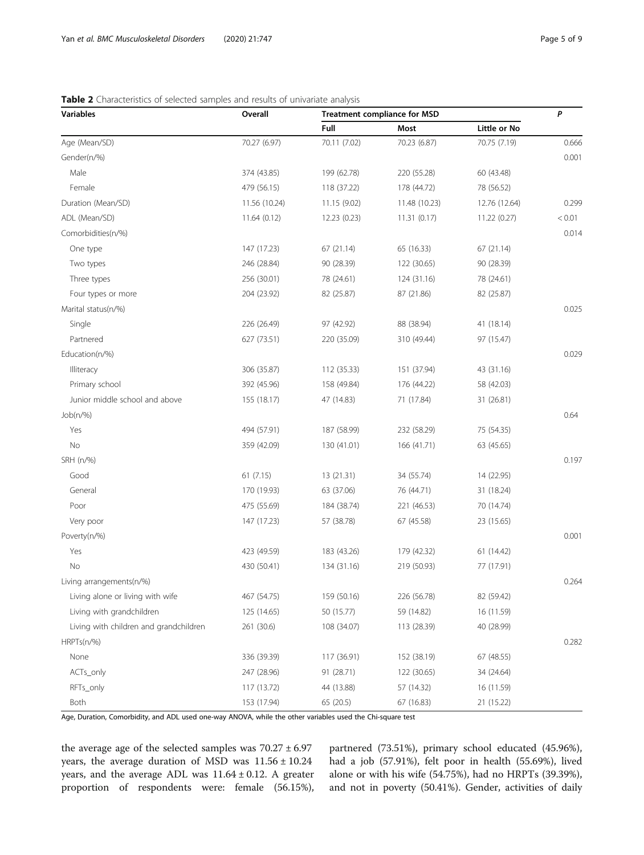| Variables                              | Overall       | <b>Treatment compliance for MSD</b> |               |               | P      |
|----------------------------------------|---------------|-------------------------------------|---------------|---------------|--------|
|                                        |               | Full                                | Most          | Little or No  |        |
| Age (Mean/SD)                          | 70.27 (6.97)  | 70.11 (7.02)                        | 70.23 (6.87)  | 70.75 (7.19)  | 0.666  |
| Gender(n/%)                            |               |                                     |               |               | 0.001  |
| Male                                   | 374 (43.85)   | 199 (62.78)                         | 220 (55.28)   | 60 (43.48)    |        |
| Female                                 | 479 (56.15)   | 118 (37.22)                         | 178 (44.72)   | 78 (56.52)    |        |
| Duration (Mean/SD)                     | 11.56 (10.24) | 11.15 (9.02)                        | 11.48 (10.23) | 12.76 (12.64) | 0.299  |
| ADL (Mean/SD)                          | 11.64(0.12)   | 12.23 (0.23)                        | 11.31(0.17)   | 11.22 (0.27)  | < 0.01 |
| Comorbidities(n/%)                     |               |                                     |               |               | 0.014  |
| One type                               | 147 (17.23)   | 67 (21.14)                          | 65 (16.33)    | 67 (21.14)    |        |
| Two types                              | 246 (28.84)   | 90 (28.39)                          | 122 (30.65)   | 90 (28.39)    |        |
| Three types                            | 256 (30.01)   | 78 (24.61)                          | 124 (31.16)   | 78 (24.61)    |        |
| Four types or more                     | 204 (23.92)   | 82 (25.87)                          | 87 (21.86)    | 82 (25.87)    |        |
| Marital status(n/%)                    |               |                                     |               |               | 0.025  |
| Single                                 | 226 (26.49)   | 97 (42.92)                          | 88 (38.94)    | 41 (18.14)    |        |
| Partnered                              | 627 (73.51)   | 220 (35.09)                         | 310 (49.44)   | 97 (15.47)    |        |
| Education(n/%)                         |               |                                     |               |               | 0.029  |
| Illiteracy                             | 306 (35.87)   | 112 (35.33)                         | 151 (37.94)   | 43 (31.16)    |        |
| Primary school                         | 392 (45.96)   | 158 (49.84)                         | 176 (44.22)   | 58 (42.03)    |        |
| Junior middle school and above         | 155 (18.17)   | 47 (14.83)                          | 71 (17.84)    | 31 (26.81)    |        |
| Job(n/%)                               |               |                                     |               |               | 0.64   |
| Yes                                    | 494 (57.91)   | 187 (58.99)                         | 232 (58.29)   | 75 (54.35)    |        |
| No                                     | 359 (42.09)   | 130 (41.01)                         | 166 (41.71)   | 63 (45.65)    |        |
| SRH (n/%)                              |               |                                     |               |               | 0.197  |
| Good                                   | 61(7.15)      | 13 (21.31)                          | 34 (55.74)    | 14 (22.95)    |        |
| General                                | 170 (19.93)   | 63 (37.06)                          | 76 (44.71)    | 31 (18.24)    |        |
| Poor                                   | 475 (55.69)   | 184 (38.74)                         | 221 (46.53)   | 70 (14.74)    |        |
| Very poor                              | 147 (17.23)   | 57 (38.78)                          | 67 (45.58)    | 23 (15.65)    |        |
| Poverty(n/%)                           |               |                                     |               |               | 0.001  |
| Yes                                    | 423 (49.59)   | 183 (43.26)                         | 179 (42.32)   | 61 (14.42)    |        |
| No                                     | 430 (50.41)   | 134 (31.16)                         | 219 (50.93)   | 77 (17.91)    |        |
| Living arrangements(n/%)               |               |                                     |               |               | 0.264  |
| Living alone or living with wife       | 467 (54.75)   | 159 (50.16)                         | 226 (56.78)   | 82 (59.42)    |        |
| Living with grandchildren              | 125 (14.65)   | 50 (15.77)                          | 59 (14.82)    | 16 (11.59)    |        |
| Living with children and grandchildren | 261 (30.6)    | 108 (34.07)                         | 113 (28.39)   | 40 (28.99)    |        |
| $HRPTs(n/\%)$                          |               |                                     |               |               | 0.282  |
| None                                   | 336 (39.39)   | 117 (36.91)                         | 152 (38.19)   | 67 (48.55)    |        |
| ACTs_only                              | 247 (28.96)   | 91 (28.71)                          | 122 (30.65)   | 34 (24.64)    |        |
| RFTs_only                              | 117 (13.72)   | 44 (13.88)                          | 57 (14.32)    | 16 (11.59)    |        |
| Both                                   | 153 (17.94)   | 65 (20.5)                           | 67 (16.83)    | 21 (15.22)    |        |

# <span id="page-4-0"></span>Table 2 Characteristics of selected samples and results of univariate analysis

Age, Duration, Comorbidity, and ADL used one-way ANOVA, while the other variables used the Chi-square test

the average age of the selected samples was  $70.27 \pm 6.97$ years, the average duration of MSD was 11.56 ± 10.24 years, and the average ADL was  $11.64 \pm 0.12$ . A greater proportion of respondents were: female (56.15%), partnered (73.51%), primary school educated (45.96%), had a job (57.91%), felt poor in health (55.69%), lived alone or with his wife (54.75%), had no HRPTs (39.39%), and not in poverty (50.41%). Gender, activities of daily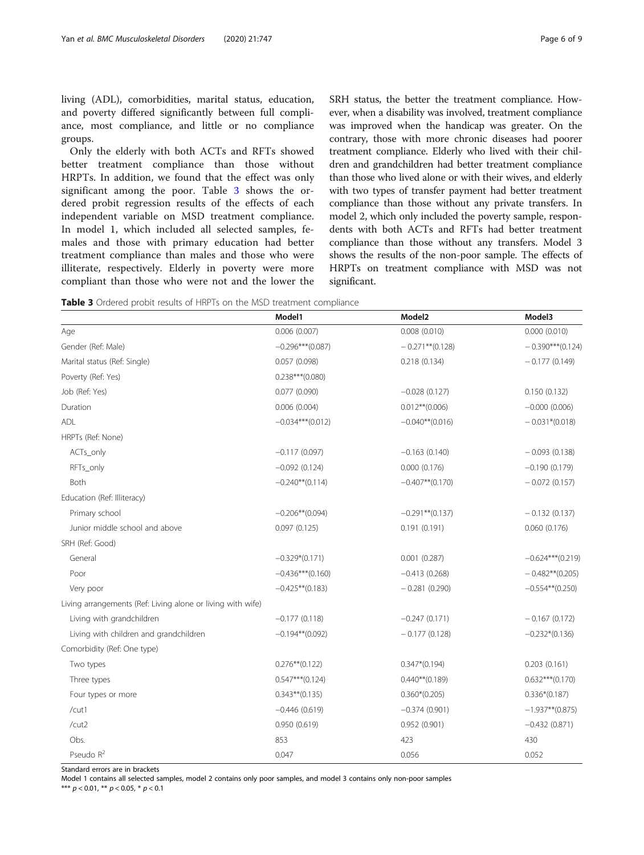living (ADL), comorbidities, marital status, education, and poverty differed significantly between full compliance, most compliance, and little or no compliance groups.

Only the elderly with both ACTs and RFTs showed better treatment compliance than those without HRPTs. In addition, we found that the effect was only significant among the poor. Table 3 shows the ordered probit regression results of the effects of each independent variable on MSD treatment compliance. In model 1, which included all selected samples, females and those with primary education had better treatment compliance than males and those who were illiterate, respectively. Elderly in poverty were more compliant than those who were not and the lower the SRH status, the better the treatment compliance. However, when a disability was involved, treatment compliance was improved when the handicap was greater. On the contrary, those with more chronic diseases had poorer treatment compliance. Elderly who lived with their children and grandchildren had better treatment compliance than those who lived alone or with their wives, and elderly with two types of transfer payment had better treatment compliance than those without any private transfers. In model 2, which only included the poverty sample, respondents with both ACTs and RFTs had better treatment compliance than those without any transfers. Model 3 shows the results of the non-poor sample. The effects of HRPTs on treatment compliance with MSD was not significant.

Table 3 Ordered probit results of HRPTs on the MSD treatment compliance

|                                                             | Model1              | Model <sub>2</sub> | Model3             |
|-------------------------------------------------------------|---------------------|--------------------|--------------------|
| Age                                                         | 0.006(0.007)        | 0.008(0.010)       | 0.000(0.010)       |
| Gender (Ref: Male)                                          | $-0.296***$ (0.087) | $-0.271**$ (0.128) | $-0.390***(0.124)$ |
| Marital status (Ref: Single)                                | 0.057(0.098)        | 0.218(0.134)       | $-0.177(0.149)$    |
| Poverty (Ref: Yes)                                          | $0.238***$ (0.080)  |                    |                    |
| Job (Ref: Yes)                                              | 0.077(0.090)        | $-0.028(0.127)$    | 0.150(0.132)       |
| Duration                                                    | 0.006(0.004)        | $0.012**$ (0.006)  | $-0.000$ (0.006)   |
| ADL                                                         | $-0.034***(0.012)$  | $-0.040**$ (0.016) | $-0.031*(0.018)$   |
| HRPTs (Ref: None)                                           |                     |                    |                    |
| ACTs_only                                                   | $-0.117(0.097)$     | $-0.163(0.140)$    | $-0.093(0.138)$    |
| RFTs_only                                                   | $-0.092(0.124)$     | 0.000(0.176)       | $-0.190(0.179)$    |
| <b>Both</b>                                                 | $-0.240**$ (0.114)  | $-0.407**$ (0.170) | $-0.072(0.157)$    |
| Education (Ref: Illiteracy)                                 |                     |                    |                    |
| Primary school                                              | $-0.206**$ (0.094)  | $-0.291**$ (0.137) | $-0.132(0.137)$    |
| Junior middle school and above                              | 0.097(0.125)        | 0.191(0.191)       | 0.060(0.176)       |
| SRH (Ref: Good)                                             |                     |                    |                    |
| General                                                     | $-0.329*(0.171)$    | 0.001(0.287)       | $-0.624***(0.219)$ |
| Poor                                                        | $-0.436***(0.160)$  | $-0.413(0.268)$    | $-0.482**$ (0.205) |
| Very poor                                                   | $-0.425**$ (0.183)  | $-0.281(0.290)$    | $-0.554**$ (0.250) |
| Living arrangements (Ref: Living alone or living with wife) |                     |                    |                    |
| Living with grandchildren                                   | $-0.177(0.118)$     | $-0.247(0.171)$    | $-0.167(0.172)$    |
| Living with children and grandchildren                      | $-0.194**$ (0.092)  | $-0.177(0.128)$    | $-0.232*(0.136)$   |
| Comorbidity (Ref: One type)                                 |                     |                    |                    |
| Two types                                                   | $0.276**$ (0.122)   | $0.347*(0.194)$    | 0.203(0.161)       |
| Three types                                                 | $0.547***$ (0.124)  | $0.440**$ (0.189)  | $0.632***(0.170)$  |
| Four types or more                                          | $0.343**$ (0.135)   | $0.360*(0.205)$    | $0.336*(0.187)$    |
| /cut1                                                       | $-0.446(0.619)$     | $-0.374(0.901)$    | $-1.937**$ (0.875) |
| /cut2                                                       | 0.950(0.619)        | 0.952(0.901)       | $-0.432(0.871)$    |
| Obs.                                                        | 853                 | 423                | 430                |
| Pseudo R <sup>2</sup>                                       | 0.047               | 0.056              | 0.052              |

Standard errors are in brackets

Model 1 contains all selected samples, model 2 contains only poor samples, and model 3 contains only non-poor samples

\*\*\*  $p < 0.01$ , \*\*  $p < 0.05$ , \*  $p < 0.1$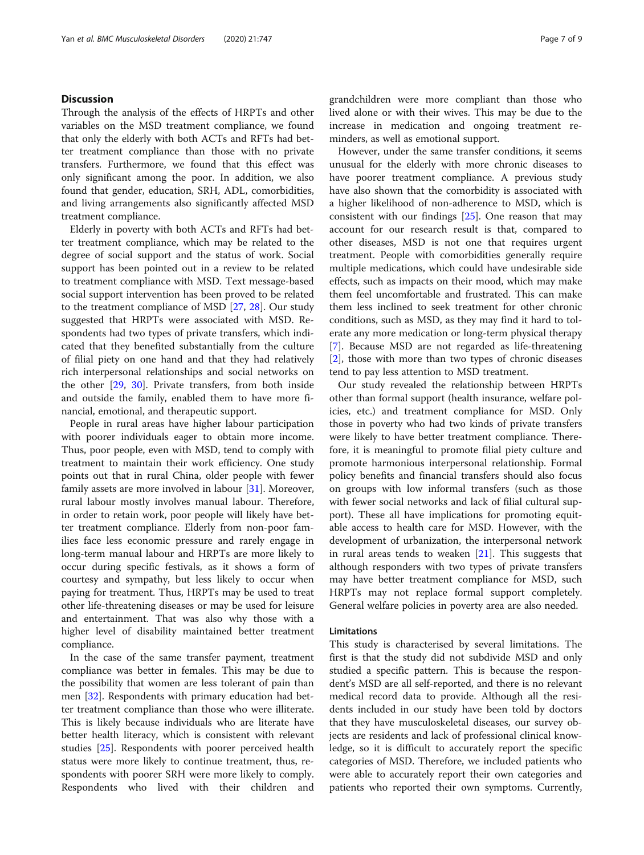# **Discussion**

Through the analysis of the effects of HRPTs and other variables on the MSD treatment compliance, we found that only the elderly with both ACTs and RFTs had better treatment compliance than those with no private transfers. Furthermore, we found that this effect was only significant among the poor. In addition, we also found that gender, education, SRH, ADL, comorbidities, and living arrangements also significantly affected MSD treatment compliance.

Elderly in poverty with both ACTs and RFTs had better treatment compliance, which may be related to the degree of social support and the status of work. Social support has been pointed out in a review to be related to treatment compliance with MSD. Text message-based social support intervention has been proved to be related to the treatment compliance of MSD [[27](#page-8-0), [28](#page-8-0)]. Our study suggested that HRPTs were associated with MSD. Respondents had two types of private transfers, which indicated that they benefited substantially from the culture of filial piety on one hand and that they had relatively rich interpersonal relationships and social networks on the other [[29](#page-8-0), [30\]](#page-8-0). Private transfers, from both inside and outside the family, enabled them to have more financial, emotional, and therapeutic support.

People in rural areas have higher labour participation with poorer individuals eager to obtain more income. Thus, poor people, even with MSD, tend to comply with treatment to maintain their work efficiency. One study points out that in rural China, older people with fewer family assets are more involved in labour [\[31](#page-8-0)]. Moreover, rural labour mostly involves manual labour. Therefore, in order to retain work, poor people will likely have better treatment compliance. Elderly from non-poor families face less economic pressure and rarely engage in long-term manual labour and HRPTs are more likely to occur during specific festivals, as it shows a form of courtesy and sympathy, but less likely to occur when paying for treatment. Thus, HRPTs may be used to treat other life-threatening diseases or may be used for leisure and entertainment. That was also why those with a higher level of disability maintained better treatment compliance.

In the case of the same transfer payment, treatment compliance was better in females. This may be due to the possibility that women are less tolerant of pain than men [\[32](#page-8-0)]. Respondents with primary education had better treatment compliance than those who were illiterate. This is likely because individuals who are literate have better health literacy, which is consistent with relevant studies [\[25](#page-8-0)]. Respondents with poorer perceived health status were more likely to continue treatment, thus, respondents with poorer SRH were more likely to comply. Respondents who lived with their children and grandchildren were more compliant than those who lived alone or with their wives. This may be due to the increase in medication and ongoing treatment reminders, as well as emotional support.

However, under the same transfer conditions, it seems unusual for the elderly with more chronic diseases to have poorer treatment compliance. A previous study have also shown that the comorbidity is associated with a higher likelihood of non-adherence to MSD, which is consistent with our findings [[25\]](#page-8-0). One reason that may account for our research result is that, compared to other diseases, MSD is not one that requires urgent treatment. People with comorbidities generally require multiple medications, which could have undesirable side effects, such as impacts on their mood, which may make them feel uncomfortable and frustrated. This can make them less inclined to seek treatment for other chronic conditions, such as MSD, as they may find it hard to tolerate any more medication or long-term physical therapy [[7\]](#page-7-0). Because MSD are not regarded as life-threatening [[2\]](#page-7-0), those with more than two types of chronic diseases tend to pay less attention to MSD treatment.

Our study revealed the relationship between HRPTs other than formal support (health insurance, welfare policies, etc.) and treatment compliance for MSD. Only those in poverty who had two kinds of private transfers were likely to have better treatment compliance. Therefore, it is meaningful to promote filial piety culture and promote harmonious interpersonal relationship. Formal policy benefits and financial transfers should also focus on groups with low informal transfers (such as those with fewer social networks and lack of filial cultural support). These all have implications for promoting equitable access to health care for MSD. However, with the development of urbanization, the interpersonal network in rural areas tends to weaken [[21](#page-8-0)]. This suggests that although responders with two types of private transfers may have better treatment compliance for MSD, such HRPTs may not replace formal support completely. General welfare policies in poverty area are also needed.

#### Limitations

This study is characterised by several limitations. The first is that the study did not subdivide MSD and only studied a specific pattern. This is because the respondent's MSD are all self-reported, and there is no relevant medical record data to provide. Although all the residents included in our study have been told by doctors that they have musculoskeletal diseases, our survey objects are residents and lack of professional clinical knowledge, so it is difficult to accurately report the specific categories of MSD. Therefore, we included patients who were able to accurately report their own categories and patients who reported their own symptoms. Currently,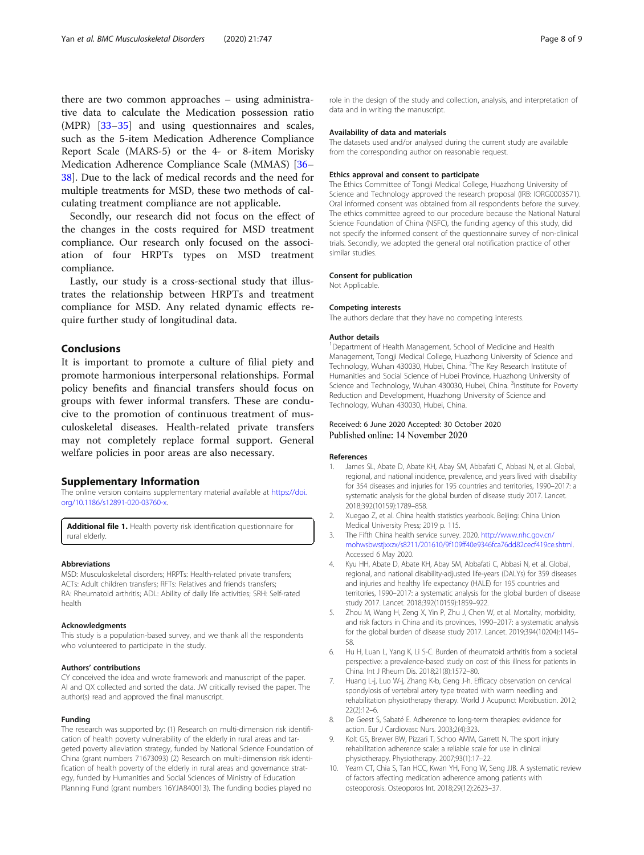<span id="page-7-0"></span>there are two common approaches – using administrative data to calculate the Medication possession ratio (MPR) [\[33](#page-8-0)–[35\]](#page-8-0) and using questionnaires and scales, such as the 5-item Medication Adherence Compliance Report Scale (MARS-5) or the 4- or 8-item Morisky Medication Adherence Compliance Scale (MMAS) [[36](#page-8-0)– [38\]](#page-8-0). Due to the lack of medical records and the need for multiple treatments for MSD, these two methods of calculating treatment compliance are not applicable.

Secondly, our research did not focus on the effect of the changes in the costs required for MSD treatment compliance. Our research only focused on the association of four HRPTs types on MSD treatment compliance.

Lastly, our study is a cross-sectional study that illustrates the relationship between HRPTs and treatment compliance for MSD. Any related dynamic effects require further study of longitudinal data.

# Conclusions

It is important to promote a culture of filial piety and promote harmonious interpersonal relationships. Formal policy benefits and financial transfers should focus on groups with fewer informal transfers. These are conducive to the promotion of continuous treatment of musculoskeletal diseases. Health-related private transfers may not completely replace formal support. General welfare policies in poor areas are also necessary.

#### Supplementary Information

The online version contains supplementary material available at [https://doi.](https://doi.org/10.1186/s12891-020-03760-x) [org/10.1186/s12891-020-03760-x](https://doi.org/10.1186/s12891-020-03760-x).

Additional file 1. Health poverty risk identification questionnaire for rural elderly.

#### Abbreviations

MSD: Musculoskeletal disorders; HRPTs: Health-related private transfers; ACTs: Adult children transfers; RFTs: Relatives and friends transfers; RA: Rheumatoid arthritis; ADL: Ability of daily life activities; SRH: Self-rated health

#### Acknowledgments

This study is a population-based survey, and we thank all the respondents who volunteered to participate in the study.

#### Authors' contributions

CY conceived the idea and wrote framework and manuscript of the paper. AI and QX collected and sorted the data. JW critically revised the paper. The author(s) read and approved the final manuscript.

#### Funding

The research was supported by: (1) Research on multi-dimension risk identification of health poverty vulnerability of the elderly in rural areas and targeted poverty alleviation strategy, funded by National Science Foundation of China (grant numbers 71673093) (2) Research on multi-dimension risk identification of health poverty of the elderly in rural areas and governance strategy, funded by Humanities and Social Sciences of Ministry of Education Planning Fund (grant numbers 16YJA840013). The funding bodies played no

role in the design of the study and collection, analysis, and interpretation of data and in writing the manuscript.

# Availability of data and materials

The datasets used and/or analysed during the current study are available from the corresponding author on reasonable request.

#### Ethics approval and consent to participate

The Ethics Committee of Tongji Medical College, Huazhong University of Science and Technology approved the research proposal (IRB: IORG0003571). Oral informed consent was obtained from all respondents before the survey. The ethics committee agreed to our procedure because the National Natural Science Foundation of China (NSFC), the funding agency of this study, did not specify the informed consent of the questionnaire survey of non-clinical trials. Secondly, we adopted the general oral notification practice of other similar studies.

#### Consent for publication

Not Applicable.

#### Competing interests

The authors declare that they have no competing interests.

#### Author details

<sup>1</sup>Department of Health Management, School of Medicine and Health Management, Tongji Medical College, Huazhong University of Science and Technology, Wuhan 430030, Hubei, China. <sup>2</sup>The Key Research Institute of Humanities and Social Science of Hubei Province, Huazhong University of Science and Technology, Wuhan 430030, Hubei, China. <sup>3</sup>Institute for Poverty Reduction and Development, Huazhong University of Science and Technology, Wuhan 430030, Hubei, China.

# Received: 6 June 2020 Accepted: 30 October 2020 Published online: 14 November 2020

#### References

- James SL, Abate D, Abate KH, Abay SM, Abbafati C, Abbasi N, et al. Global, regional, and national incidence, prevalence, and years lived with disability for 354 diseases and injuries for 195 countries and territories, 1990–2017: a systematic analysis for the global burden of disease study 2017. Lancet. 2018;392(10159):1789–858.
- 2. Xuegao Z, et al. China health statistics yearbook. Beijing: China Union Medical University Press; 2019 p. 115.
- 3. The Fifth China health service survey. 2020. [http://www.nhc.gov.cn/](http://www.nhc.gov.cn/mohwsbwstjxxzx/s8211/201610/9f109ff40e9346fca76dd82cecf419ce.shtml) [mohwsbwstjxxzx/s8211/201610/9f109ff40e9346fca76dd82cecf419ce.shtml.](http://www.nhc.gov.cn/mohwsbwstjxxzx/s8211/201610/9f109ff40e9346fca76dd82cecf419ce.shtml) Accessed 6 May 2020.
- Kyu HH, Abate D, Abate KH, Abay SM, Abbafati C, Abbasi N, et al. Global, regional, and national disability-adjusted life-years (DALYs) for 359 diseases and injuries and healthy life expectancy (HALE) for 195 countries and territories, 1990–2017: a systematic analysis for the global burden of disease study 2017. Lancet. 2018;392(10159):1859–922.
- 5. Zhou M, Wang H, Zeng X, Yin P, Zhu J, Chen W, et al. Mortality, morbidity, and risk factors in China and its provinces, 1990–2017: a systematic analysis for the global burden of disease study 2017. Lancet. 2019;394(10204):1145– 58.
- 6. Hu H, Luan L, Yang K, Li S-C. Burden of rheumatoid arthritis from a societal perspective: a prevalence-based study on cost of this illness for patients in China. Int J Rheum Dis. 2018;21(8):1572–80.
- 7. Huang L-j, Luo W-j, Zhang K-b, Geng J-h. Efficacy observation on cervical spondylosis of vertebral artery type treated with warm needling and rehabilitation physiotherapy therapy. World J Acupunct Moxibustion. 2012; 22(2):12–6.
- 8. De Geest S, Sabaté E. Adherence to long-term therapies: evidence for action. Eur J Cardiovasc Nurs. 2003;2(4):323.
- 9. Kolt GS, Brewer BW, Pizzari T, Schoo AMM, Garrett N. The sport injury rehabilitation adherence scale: a reliable scale for use in clinical physiotherapy. Physiotherapy. 2007;93(1):17–22.
- 10. Yeam CT, Chia S, Tan HCC, Kwan YH, Fong W, Seng JJB. A systematic review of factors affecting medication adherence among patients with osteoporosis. Osteoporos Int. 2018;29(12):2623–37.